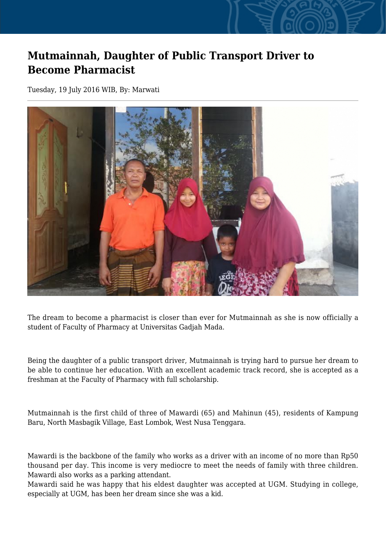## **Mutmainnah, Daughter of Public Transport Driver to Become Pharmacist**

Tuesday, 19 July 2016 WIB, By: Marwati



The dream to become a pharmacist is closer than ever for Mutmainnah as she is now officially a student of Faculty of Pharmacy at Universitas Gadjah Mada.

Being the daughter of a public transport driver, Mutmainnah is trying hard to pursue her dream to be able to continue her education. With an excellent academic track record, she is accepted as a freshman at the Faculty of Pharmacy with full scholarship.

Mutmainnah is the first child of three of Mawardi (65) and Mahinun (45), residents of Kampung Baru, North Masbagik Village, East Lombok, West Nusa Tenggara.

Mawardi is the backbone of the family who works as a driver with an income of no more than Rp50 thousand per day. This income is very mediocre to meet the needs of family with three children. Mawardi also works as a parking attendant.

Mawardi said he was happy that his eldest daughter was accepted at UGM. Studying in college, especially at UGM, has been her dream since she was a kid.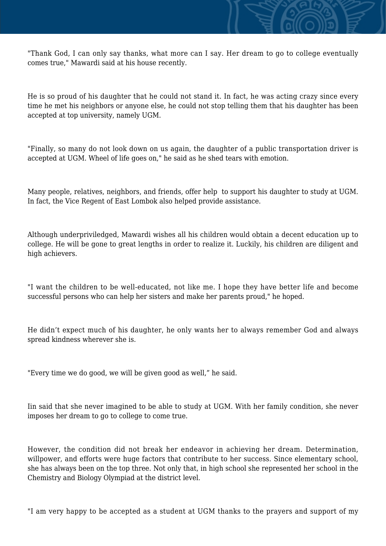"Thank God, I can only say thanks, what more can I say. Her dream to go to college eventually comes true," Mawardi said at his house recently.

He is so proud of his daughter that he could not stand it. In fact, he was acting crazy since every time he met his neighbors or anyone else, he could not stop telling them that his daughter has been accepted at top university, namely UGM.

"Finally, so many do not look down on us again, the daughter of a public transportation driver is accepted at UGM. Wheel of life goes on," he said as he shed tears with emotion.

Many people, relatives, neighbors, and friends, offer help to support his daughter to study at UGM. In fact, the Vice Regent of East Lombok also helped provide assistance.

Although underpriviledged, Mawardi wishes all his children would obtain a decent education up to college. He will be gone to great lengths in order to realize it. Luckily, his children are diligent and high achievers.

"I want the children to be well-educated, not like me. I hope they have better life and become successful persons who can help her sisters and make her parents proud," he hoped.

He didn't expect much of his daughter, he only wants her to always remember God and always spread kindness wherever she is.

"Every time we do good, we will be given good as well," he said.

Iin said that she never imagined to be able to study at UGM. With her family condition, she never imposes her dream to go to college to come true.

However, the condition did not break her endeavor in achieving her dream. Determination, willpower, and efforts were huge factors that contribute to her success. Since elementary school, she has always been on the top three. Not only that, in high school she represented her school in the Chemistry and Biology Olympiad at the district level.

"I am very happy to be accepted as a student at UGM thanks to the prayers and support of my